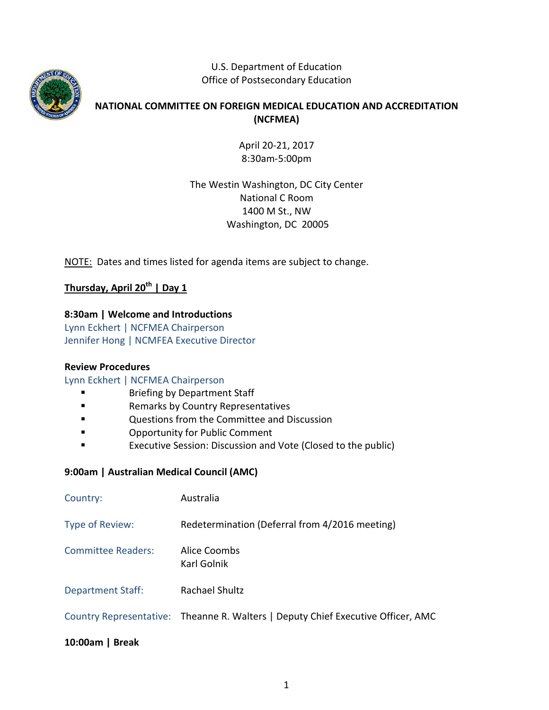

U.S. Department of Education Office of Postsecondary Education

# **NATIONAL COMMITTEE ON FOREIGN MEDICAL EDUCATION AND ACCREDITATION (NCFMEA)**

April 20-21, 2017 8:30am-5:00pm

The Westin Washington, DC City Center National C Room 1400 M St., NW Washington, DC 20005

NOTE: Dates and times listed for agenda items are subject to change.

# **Thursday, April 20th | Day 1**

## **8:30am | Welcome and Introductions**

Lynn Eckhert | NCFMEA Chairperson Jennifer Hong | NCMFEA Executive Director

## **Review Procedures**

## Lynn Eckhert | NCFMEA Chairperson

- Briefing by Department Staff
- **Example 3** Remarks by Country Representatives
- Questions from the Committee and Discussion
- **Example 3** Opportunity for Public Comment
- Executive Session: Discussion and Vote (Closed to the public)

## **9:00am | Australian Medical Council (AMC)**

| Country:                  | Australia                                                                        |
|---------------------------|----------------------------------------------------------------------------------|
| Type of Review:           | Redetermination (Deferral from 4/2016 meeting)                                   |
| <b>Committee Readers:</b> | Alice Coombs<br>Karl Golnik                                                      |
| <b>Department Staff:</b>  | Rachael Shultz                                                                   |
|                           | Country Representative: Theanne R. Walters   Deputy Chief Executive Officer, AMC |

## **10:00am | Break**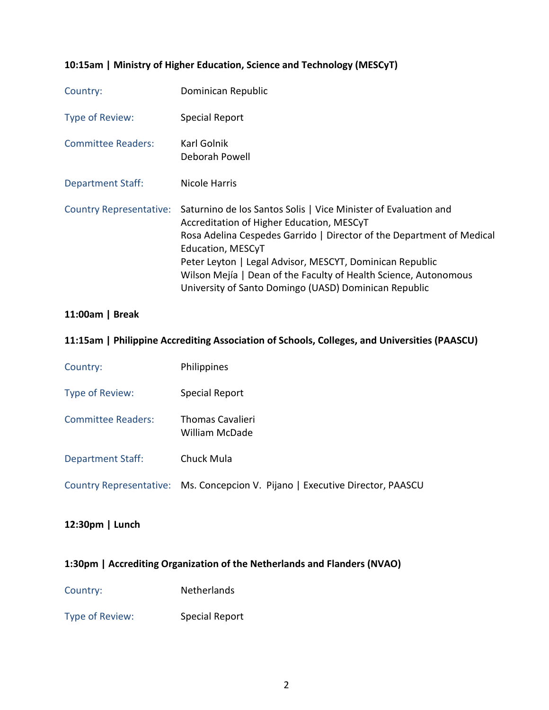# **10:15am | Ministry of Higher Education, Science and Technology (MESCyT)**

| Country:                       | Dominican Republic                                                                                                                                                                                                                                                                                                                                                                                  |
|--------------------------------|-----------------------------------------------------------------------------------------------------------------------------------------------------------------------------------------------------------------------------------------------------------------------------------------------------------------------------------------------------------------------------------------------------|
| Type of Review:                | Special Report                                                                                                                                                                                                                                                                                                                                                                                      |
| <b>Committee Readers:</b>      | Karl Golnik<br>Deborah Powell                                                                                                                                                                                                                                                                                                                                                                       |
| <b>Department Staff:</b>       | Nicole Harris                                                                                                                                                                                                                                                                                                                                                                                       |
| <b>Country Representative:</b> | Saturnino de los Santos Solis   Vice Minister of Evaluation and<br>Accreditation of Higher Education, MESCyT<br>Rosa Adelina Cespedes Garrido   Director of the Department of Medical<br>Education, MESCyT<br>Peter Leyton   Legal Advisor, MESCYT, Dominican Republic<br>Wilson Mejía   Dean of the Faculty of Health Science, Autonomous<br>University of Santo Domingo (UASD) Dominican Republic |

# **11:00am | Break**

### **11:15am | Philippine Accrediting Association of Schools, Colleges, and Universities (PAASCU)**

| Country:                 | <b>Philippines</b>                                                            |
|--------------------------|-------------------------------------------------------------------------------|
| Type of Review:          | Special Report                                                                |
| Committee Readers:       | <b>Thomas Cavalieri</b><br>William McDade                                     |
| <b>Department Staff:</b> | Chuck Mula                                                                    |
|                          | Country Representative: Ms. Concepcion V. Pijano   Executive Director, PAASCU |

# **12:30pm | Lunch**

# **1:30pm | Accrediting Organization of the Netherlands and Flanders (NVAO)**

Country: Netherlands

Type of Review: Special Report